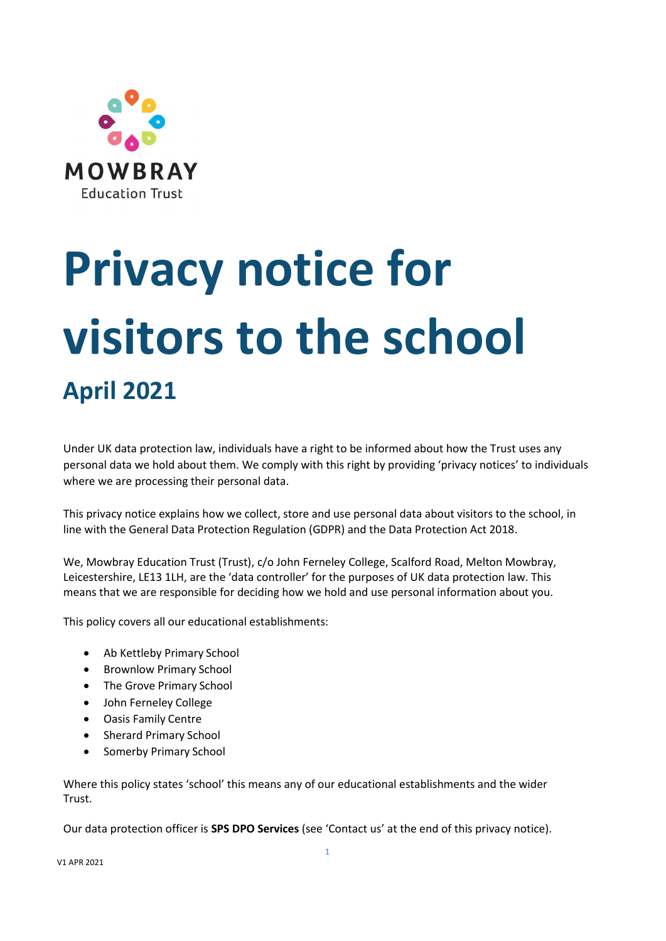

# **Privacy notice for visitors to the school April 2021**

Under UK data protection law, individuals have a right to be informed about how the Trust uses any personal data we hold about them. We comply with this right by providing 'privacy notices' to individuals where we are processing their personal data.

This privacy notice explains how we collect, store and use personal data about visitors to the school, in line with the General Data Protection Regulation (GDPR) and the Data Protection Act 2018.

We, Mowbray Education Trust (Trust), c/o John Ferneley College, Scalford Road, Melton Mowbray, Leicestershire, LE13 1LH, are the 'data controller' for the purposes of UK data protection law. This means that we are responsible for deciding how we hold and use personal information about you.

This policy covers all our educational establishments:

- Ab Kettleby Primary School
- Brownlow Primary School
- The Grove Primary School
- John Ferneley College
- Oasis Family Centre
- Sherard Primary School
- Somerby Primary School

Where this policy states 'school' this means any of our educational establishments and the wider Trust.

Our data protection officer is **SPS DPO Services** (see 'Contact us' at the end of this privacy notice).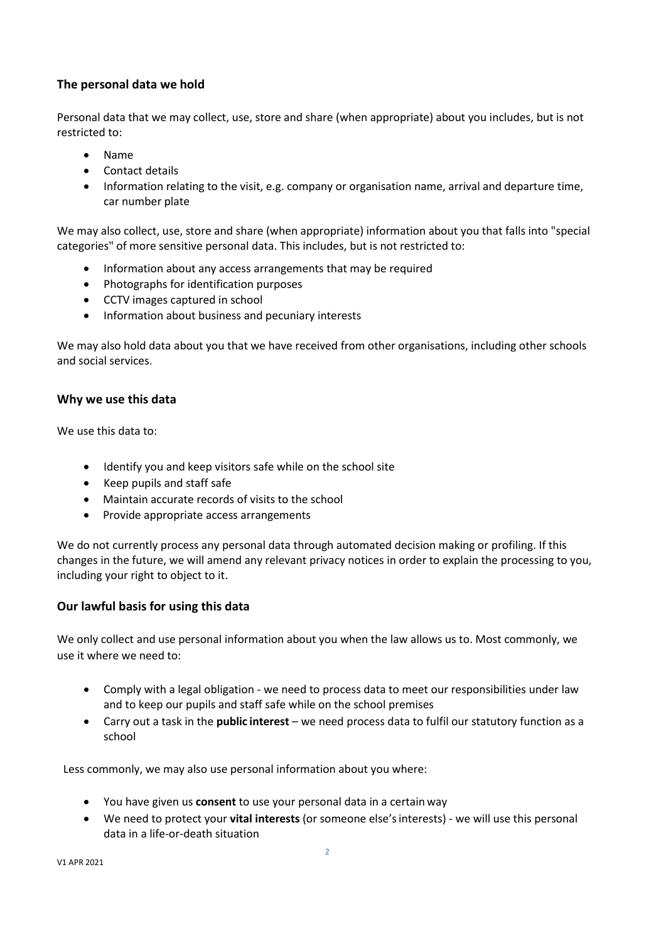## **The personal data we hold**

Personal data that we may collect, use, store and share (when appropriate) about you includes, but is not restricted to:

- Name
- Contact details
- Information relating to the visit, e.g. company or organisation name, arrival and departure time, car number plate

We may also collect, use, store and share (when appropriate) information about you that falls into "special categories" of more sensitive personal data. This includes, but is not restricted to:

- Information about any access arrangements that may be required
- Photographs for identification purposes
- CCTV images captured in school
- Information about business and pecuniary interests

We may also hold data about you that we have received from other organisations, including other schools and social services.

#### **Why we use this data**

We use this data to:

- Identify you and keep visitors safe while on the school site
- Keep pupils and staff safe
- Maintain accurate records of visits to the school
- Provide appropriate access arrangements

We do not currently process any personal data through automated decision making or profiling. If this changes in the future, we will amend any relevant privacy notices in order to explain the processing to you, including your right to object to it.

### **Our lawful basis for using this data**

We only collect and use personal information about you when the law allows us to. Most commonly, we use it where we need to:

- Comply with a legal obligation we need to process data to meet our responsibilities under law and to keep our pupils and staff safe while on the school premises
- Carry out a task in the **public interest** we need process data to fulfil our statutory function as a school

Less commonly, we may also use personal information about you where:

- You have given us **consent** to use your personal data in a certain way
- We need to protect your **vital interests** (or someone else'sinterests) we will use this personal data in a life-or-death situation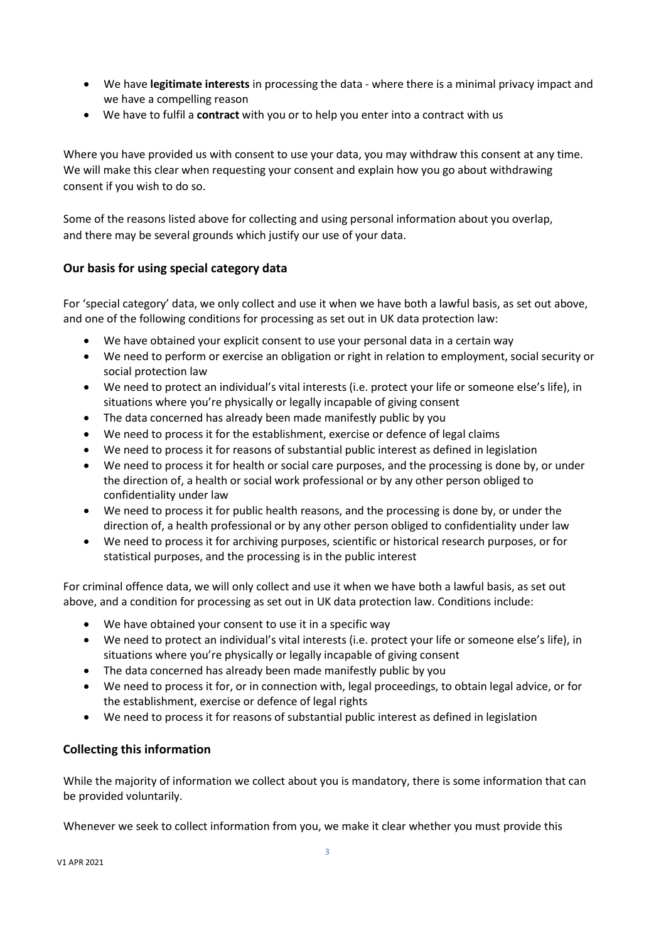- We have **legitimate interests** in processing the data where there is a minimal privacy impact and we have a compelling reason
- We have to fulfil a **contract** with you or to help you enter into a contract with us

Where you have provided us with consent to use your data, you may withdraw this consent at any time. We will make this clear when requesting your consent and explain how you go about withdrawing consent if you wish to do so.

Some of the reasons listed above for collecting and using personal information about you overlap, and there may be several grounds which justify our use of your data.

# **Our basis for using special category data**

For 'special category' data, we only collect and use it when we have both a lawful basis, as set out above, and one of the following conditions for processing as set out in UK data protection law:

- We have obtained your explicit consent to use your personal data in a certain way
- We need to perform or exercise an obligation or right in relation to employment, social security or social protection law
- We need to protect an individual's vital interests (i.e. protect your life or someone else's life), in situations where you're physically or legally incapable of giving consent
- The data concerned has already been made manifestly public by you
- We need to process it for the establishment, exercise or defence of legal claims
- We need to process it for reasons of substantial public interest as defined in legislation
- We need to process it for health or social care purposes, and the processing is done by, or under the direction of, a health or social work professional or by any other person obliged to confidentiality under law
- We need to process it for public health reasons, and the processing is done by, or under the direction of, a health professional or by any other person obliged to confidentiality under law
- We need to process it for archiving purposes, scientific or historical research purposes, or for statistical purposes, and the processing is in the public interest

For criminal offence data, we will only collect and use it when we have both a lawful basis, as set out above, and a condition for processing as set out in UK data protection law. Conditions include:

- We have obtained your consent to use it in a specific way
- We need to protect an individual's vital interests (i.e. protect your life or someone else's life), in situations where you're physically or legally incapable of giving consent
- The data concerned has already been made manifestly public by you
- We need to process it for, or in connection with, legal proceedings, to obtain legal advice, or for the establishment, exercise or defence of legal rights
- We need to process it for reasons of substantial public interest as defined in legislation

### **Collecting this information**

While the majority of information we collect about you is mandatory, there is some information that can be provided voluntarily.

Whenever we seek to collect information from you, we make it clear whether you must provide this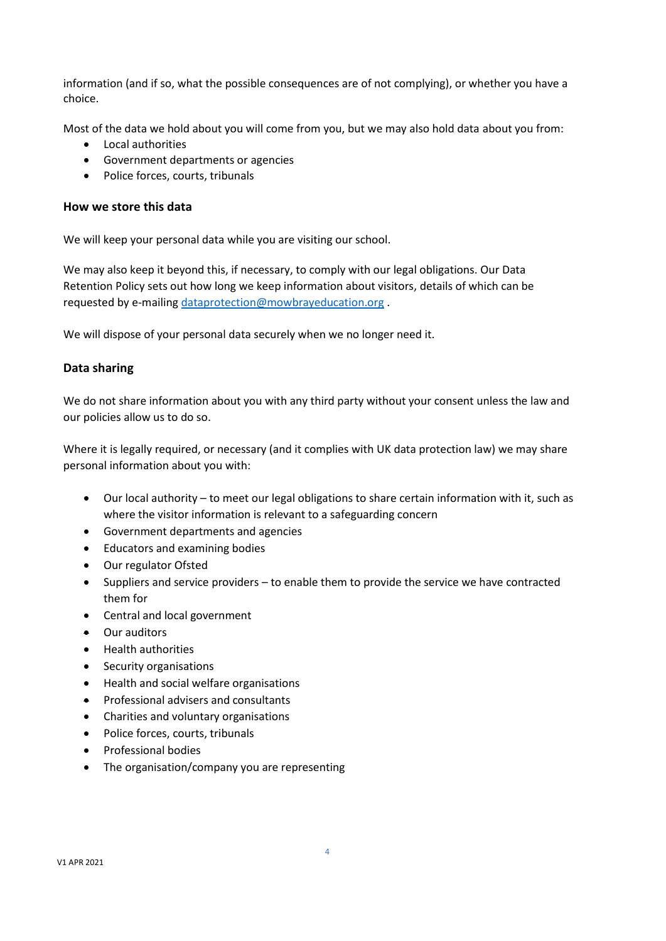information (and if so, what the possible consequences are of not complying), or whether you have a choice.

Most of the data we hold about you will come from you, but we may also hold data about you from:

- Local authorities
- Government departments or agencies
- Police forces, courts, tribunals

#### **How we store this data**

We will keep your personal data while you are visiting our school.

We may also keep it beyond this, if necessary, to comply with our legal obligations. Our Data Retention Policy sets out how long we keep information about visitors, details of which can be requested by e-mailing [dataprotection@mowbrayeducation.org](mailto:dataprotection@mowbrayeducation.org) .

We will dispose of your personal data securely when we no longer need it.

### **Data sharing**

We do not share information about you with any third party without your consent unless the law and our policies allow us to do so.

Where it is legally required, or necessary (and it complies with UK data protection law) we may share personal information about you with:

- Our local authority to meet our legal obligations to share certain information with it, such as where the visitor information is relevant to a safeguarding concern
- Government departments and agencies
- Educators and examining bodies
- Our regulator Ofsted
- Suppliers and service providers to enable them to provide the service we have contracted them for
- Central and local government
- Our auditors
- Health authorities
- Security organisations
- Health and social welfare organisations
- Professional advisers and consultants
- Charities and voluntary organisations
- Police forces, courts, tribunals
- Professional bodies
- The organisation/company you are representing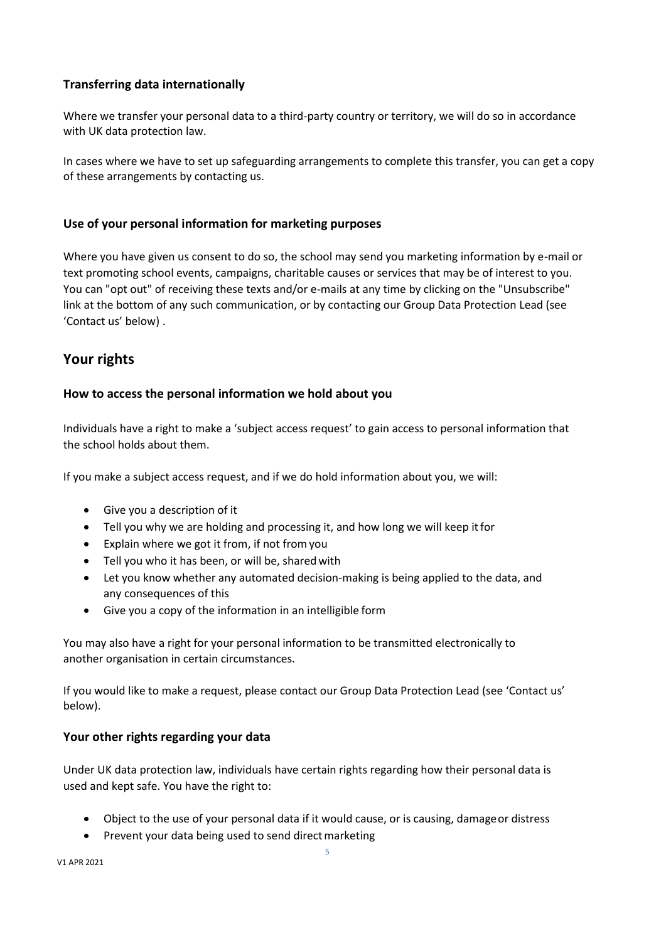# **Transferring data internationally**

Where we transfer your personal data to a third-party country or territory, we will do so in accordance with UK data protection law.

In cases where we have to set up safeguarding arrangements to complete this transfer, you can get a copy of these arrangements by contacting us.

### **Use of your personal information for marketing purposes**

Where you have given us consent to do so, the school may send you marketing information by e-mail or text promoting school events, campaigns, charitable causes or services that may be of interest to you. You can "opt out" of receiving these texts and/or e-mails at any time by clicking on the "Unsubscribe" link at the bottom of any such communication, or by contacting our Group Data Protection Lead (see 'Contact us' below) .

# **Your rights**

### **How to access the personal information we hold about you**

Individuals have a right to make a 'subject access request' to gain access to personal information that the school holds about them.

If you make a subject access request, and if we do hold information about you, we will:

- Give you a description of it
- Tell you why we are holding and processing it, and how long we will keep itfor
- Explain where we got it from, if not fromyou
- Tell you who it has been, or will be, sharedwith
- Let you know whether any automated decision-making is being applied to the data, and any consequences of this
- Give you a copy of the information in an intelligible form

You may also have a right for your personal information to be transmitted electronically to another organisation in certain circumstances.

If you would like to make a request, please contact our Group Data Protection Lead (see 'Contact us' below).

### **Your other rights regarding your data**

Under UK data protection law, individuals have certain rights regarding how their personal data is used and kept safe. You have the right to:

- Object to the use of your personal data if it would cause, or is causing, damageor distress
- Prevent your data being used to send direct marketing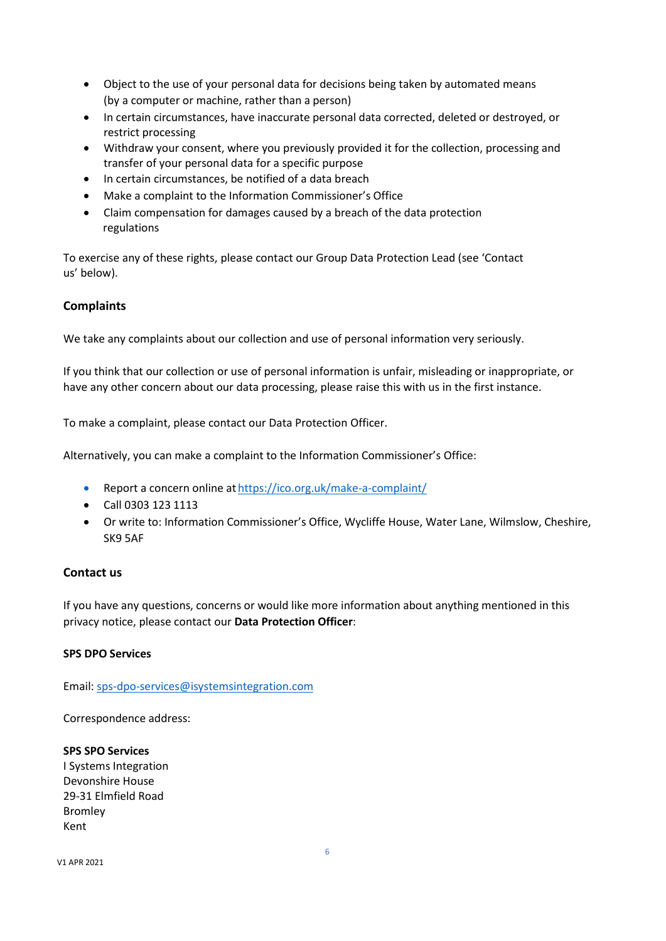- Object to the use of your personal data for decisions being taken by automated means (by a computer or machine, rather than a person)
- In certain circumstances, have inaccurate personal data corrected, deleted or destroyed, or restrict processing
- Withdraw your consent, where you previously provided it for the collection, processing and transfer of your personal data for a specific purpose
- In certain circumstances, be notified of a data breach
- Make a complaint to the Information Commissioner's Office
- Claim compensation for damages caused by a breach of the data protection regulations

To exercise any of these rights, please contact our Group Data Protection Lead (see 'Contact us' below).

### **Complaints**

We take any complaints about our collection and use of personal information very seriously.

If you think that our collection or use of personal information is unfair, misleading or inappropriate, or have any other concern about our data processing, please raise this with us in the first instance.

To make a complaint, please contact our Data Protection Officer.

Alternatively, you can make a complaint to the Information Commissioner's Office:

- Report a concern online at <https://ico.org.uk/make-a-complaint/>
- Call 0303 123 1113
- Or write to: Information Commissioner's Office, Wycliffe House, Water Lane, Wilmslow, Cheshire, SK9 5AF

#### **Contact us**

If you have any questions, concerns or would like more information about anything mentioned in this privacy notice, please contact our **Data Protection Officer**:

#### **SPS DPO Services**

Email[: sps-dpo-services@isystemsintegration.com](mailto:sps-dpo-services@isystemsintegration.com)

Correspondence address:

**SPS SPO Services**  I Systems Integration Devonshire House 29-31 Elmfield Road Bromley Kent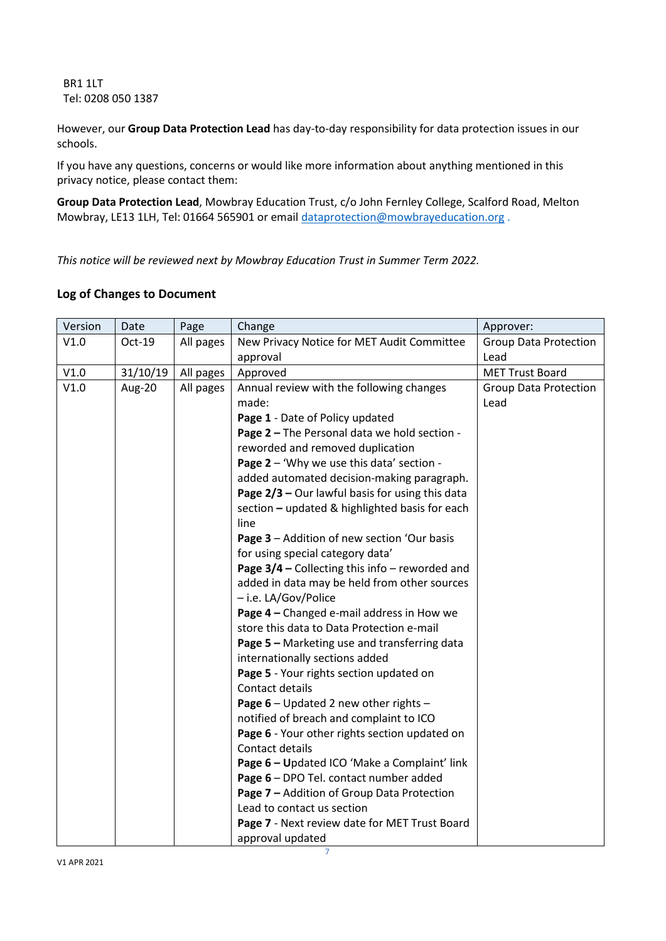BR1 1LT Tel: 0208 050 1387

However, our **Group Data Protection Lead** has day-to-day responsibility for data protection issues in our schools.

If you have any questions, concerns or would like more information about anything mentioned in this privacy notice, please contact them:

**Group Data Protection Lead**, Mowbray Education Trust, c/o John Fernley College, Scalford Road, Melton Mowbray, LE13 1LH, Tel: 01664 565901 or email [dataprotection@mowbrayeducation.org](mailto:dataprotection@mowbrayeducation.org) .

*This notice will be reviewed next by Mowbray Education Trust in Summer Term 2022.*

# **Log of Changes to Document**

| Version | Date     | Page      | Change                                                                                 | Approver:                    |
|---------|----------|-----------|----------------------------------------------------------------------------------------|------------------------------|
| V1.0    | Oct-19   | All pages | New Privacy Notice for MET Audit Committee                                             | <b>Group Data Protection</b> |
|         |          |           | approval                                                                               | Lead                         |
| V1.0    | 31/10/19 | All pages | Approved                                                                               | <b>MET Trust Board</b>       |
| V1.0    | Aug-20   | All pages | Annual review with the following changes                                               | <b>Group Data Protection</b> |
|         |          |           | made:                                                                                  | Lead                         |
|         |          |           | Page 1 - Date of Policy updated                                                        |                              |
|         |          |           | Page 2 - The Personal data we hold section -                                           |                              |
|         |          |           | reworded and removed duplication                                                       |                              |
|         |          |           | Page 2 - 'Why we use this data' section -                                              |                              |
|         |          |           | added automated decision-making paragraph.                                             |                              |
|         |          |           | Page 2/3 - Our lawful basis for using this data                                        |                              |
|         |          |           | section - updated & highlighted basis for each                                         |                              |
|         |          |           | line                                                                                   |                              |
|         |          |           | Page 3 - Addition of new section 'Our basis                                            |                              |
|         |          |           | for using special category data'                                                       |                              |
|         |          |           | Page $3/4$ – Collecting this info – reworded and                                       |                              |
|         |          |           | added in data may be held from other sources                                           |                              |
|         |          |           | - i.e. LA/Gov/Police                                                                   |                              |
|         |          |           | Page 4 - Changed e-mail address in How we<br>store this data to Data Protection e-mail |                              |
|         |          |           |                                                                                        |                              |
|         |          |           | Page 5 - Marketing use and transferring data<br>internationally sections added         |                              |
|         |          |           | Page 5 - Your rights section updated on                                                |                              |
|         |          |           | Contact details                                                                        |                              |
|         |          |           | Page 6 - Updated 2 new other rights -                                                  |                              |
|         |          |           | notified of breach and complaint to ICO                                                |                              |
|         |          |           | Page 6 - Your other rights section updated on                                          |                              |
|         |          |           | Contact details                                                                        |                              |
|         |          |           | Page 6 - Updated ICO 'Make a Complaint' link                                           |                              |
|         |          |           | Page 6 - DPO Tel. contact number added                                                 |                              |
|         |          |           | Page 7 - Addition of Group Data Protection                                             |                              |
|         |          |           | Lead to contact us section                                                             |                              |
|         |          |           | Page 7 - Next review date for MET Trust Board                                          |                              |
|         |          |           | approval updated                                                                       |                              |